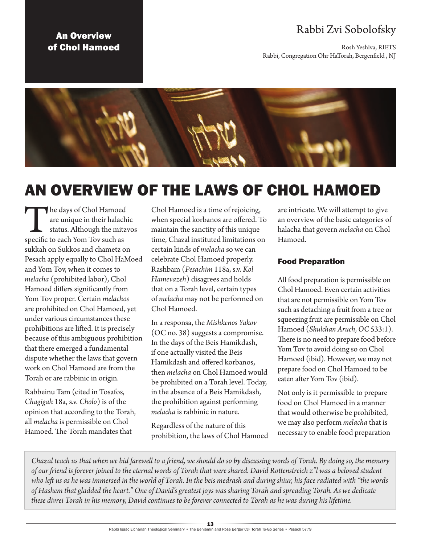## Rabbi Zvi Sobolofsky

Rosh Yeshiva, RIETS Rabbi, Congregation Ohr HaTorah, Bergenfield , NJ

### An Overview of Chol Hamoed



# AN OVERVIEW OF THE LAWS OF CHOL HAMOED

The days of Chol Hamoed<br>
are unique in their halach<br>
status. Although the mitz<br>
specific to each Yom Tov such as are unique in their halachic status. Although the mitzvos sukkah on Sukkos and chametz on Pesach apply equally to Chol HaMoed and Yom Tov, when it comes to *melacha* (prohibited labor), Chol Hamoed differs significantly from Yom Tov proper. Certain *melachos*  are prohibited on Chol Hamoed, yet under various circumstances these prohibitions are lifted. It is precisely because of this ambiguous prohibition that there emerged a fundamental dispute whether the laws that govern work on Chol Hamoed are from the Torah or are rabbinic in origin.

Rabbeinu Tam (cited in Tosafos, *Chagigah* 18a, s.v. *Cholo*) is of the opinion that according to the Torah, all *melacha* is permissible on Chol Hamoed. The Torah mandates that

Chol Hamoed is a time of rejoicing, when special korbanos are offered. To maintain the sanctity of this unique time, Chazal instituted limitations on certain kinds of *melacha* so we can celebrate Chol Hamoed properly. Rashbam (*Pesachim* 118a, s.v. *Kol Hamevazeh*) disagrees and holds that on a Torah level, certain types of *melacha* may not be performed on Chol Hamoed.

In a responsa, the *Mishkenos Yakov* (OC no. 38) suggests a compromise. In the days of the Beis Hamikdash, if one actually visited the Beis Hamikdash and offered korbanos, then *melacha* on Chol Hamoed would be prohibited on a Torah level. Today, in the absence of a Beis Hamikdash, the prohibition against performing *melacha* is rabbinic in nature.

Regardless of the nature of this prohibition, the laws of Chol Hamoed are intricate. We will attempt to give an overview of the basic categories of halacha that govern *melacha* on Chol Hamoed.

#### Food Preparation

All food preparation is permissible on Chol Hamoed. Even certain activities that are not permissible on Yom Tov such as detaching a fruit from a tree or squeezing fruit are permissible on Chol Hamoed (*Shulchan Aruch*, *OC* 533:1). There is no need to prepare food before Yom Tov to avoid doing so on Chol Hamoed (ibid). However, we may not prepare food on Chol Hamoed to be eaten after Yom Tov (ibid).

Not only is it permissible to prepare food on Chol Hamoed in a manner that would otherwise be prohibited, we may also perform *melacha* that is necessary to enable food preparation

*Chazal teach us that when we bid farewell to a friend, we should do so by discussing words of Torah. By doing so, the memory of our friend is forever joined to the eternal words of Torah that were shared. David Rottenstreich z"l was a beloved student who left us as he was immersed in the world of Torah. In the beis medrash and during shiur, his face radiated with "the words of Hashem that gladded the heart." One of David's greatest joys was sharing Torah and spreading Torah. As we dedicate these divrei Torah in his memory, David continues to be forever connected to Torah as he was during his lifetime.*